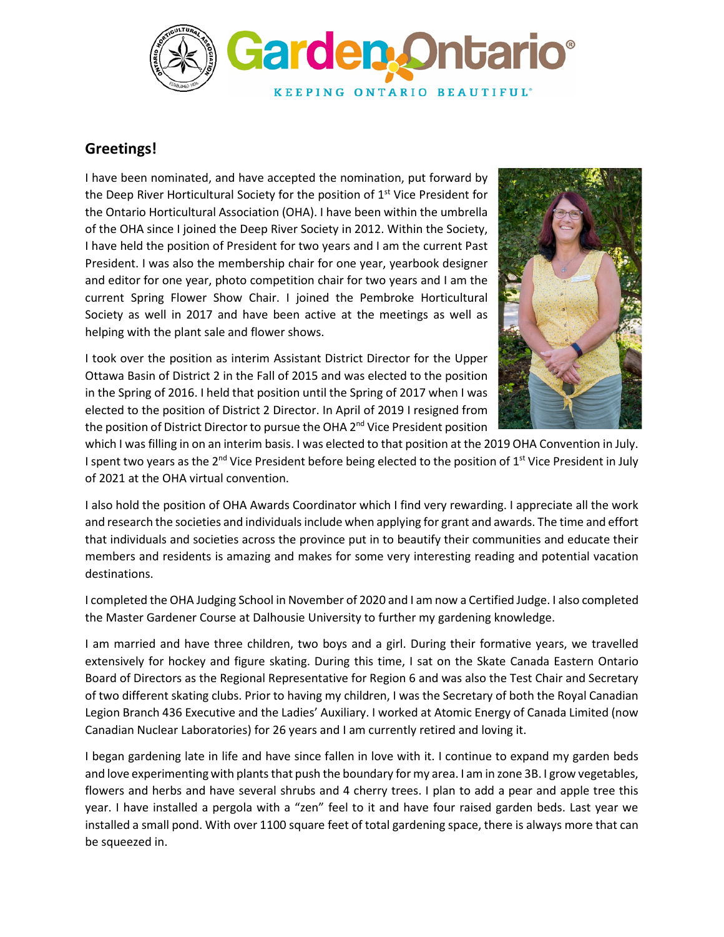

## **Greetings!**

I have been nominated, and have accepted the nomination, put forward by the Deep River Horticultural Society for the position of  $1<sup>st</sup>$  Vice President for the Ontario Horticultural Association (OHA). I have been within the umbrella of the OHA since I joined the Deep River Society in 2012. Within the Society, I have held the position of President for two years and I am the current Past President. I was also the membership chair for one year, yearbook designer and editor for one year, photo competition chair for two years and I am the current Spring Flower Show Chair. I joined the Pembroke Horticultural Society as well in 2017 and have been active at the meetings as well as helping with the plant sale and flower shows.

I took over the position as interim Assistant District Director for the Upper Ottawa Basin of District 2 in the Fall of 2015 and was elected to the position in the Spring of 2016. I held that position until the Spring of 2017 when I was elected to the position of District 2 Director. In April of 2019 I resigned from the position of District Director to pursue the OHA 2<sup>nd</sup> Vice President position



which I was filling in on an interim basis. I was elected to that position at the 2019 OHA Convention in July. I spent two years as the 2<sup>nd</sup> Vice President before being elected to the position of 1<sup>st</sup> Vice President in July of 2021 at the OHA virtual convention.

I also hold the position of OHA Awards Coordinator which I find very rewarding. I appreciate all the work and research the societies and individuals include when applying for grant and awards. The time and effort that individuals and societies across the province put in to beautify their communities and educate their members and residents is amazing and makes for some very interesting reading and potential vacation destinations.

I completed the OHA Judging School in November of 2020 and I am now a Certified Judge. I also completed the Master Gardener Course at Dalhousie University to further my gardening knowledge.

I am married and have three children, two boys and a girl. During their formative years, we travelled extensively for hockey and figure skating. During this time, I sat on the Skate Canada Eastern Ontario Board of Directors as the Regional Representative for Region 6 and was also the Test Chair and Secretary of two different skating clubs. Prior to having my children, I was the Secretary of both the Royal Canadian Legion Branch 436 Executive and the Ladies' Auxiliary. I worked at Atomic Energy of Canada Limited (now Canadian Nuclear Laboratories) for 26 years and I am currently retired and loving it.

I began gardening late in life and have since fallen in love with it. I continue to expand my garden beds and love experimenting with plants that push the boundary for my area. I am in zone 3B. I grow vegetables, flowers and herbs and have several shrubs and 4 cherry trees. I plan to add a pear and apple tree this year. I have installed a pergola with a "zen" feel to it and have four raised garden beds. Last year we installed a small pond. With over 1100 square feet of total gardening space, there is always more that can be squeezed in.